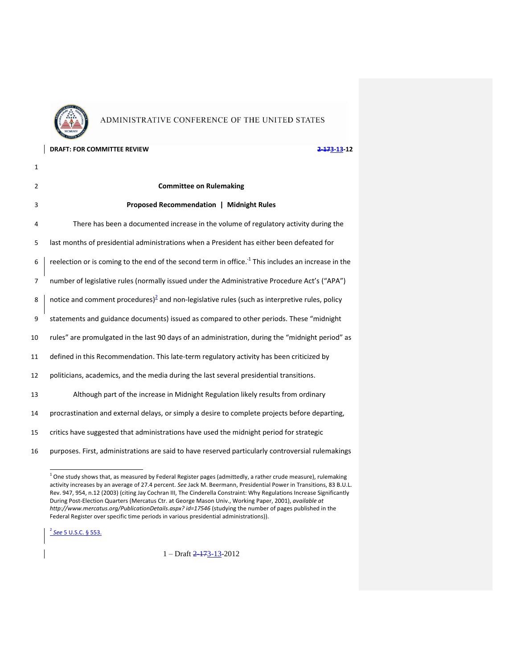

#### **DRAFT: FOR COMMITTEE REVIEW 2-173-13-12**

# **Committee on Rulemaking Proposed Recommendation | Midnight Rules** There has been a documented increase in the volume of regulatory activity during the last months of presidential administrations when a President has either been defeated for  $\mid$  reelection or is coming to the end of the second term in office.<sup>-1</sup> This includes an increase in the number of legislative rules (normally issued under the Administrative Procedure Act's ("APA")  $\parallel$  notice and comment procedures)<sup>2</sup> and non-legislative rules (such as interpretive rules, policy statements and guidance documents) issued as compared to other periods. These "midnight rules" are promulgated in the last 90 days of an administration, during the "midnight period" as defined in this Recommendation. This late-term regulatory activity has been criticized by politicians, academics, and the media during the last several presidential transitions. Although part of the increase in Midnight Regulation likely results from ordinary procrastination and external delays, or simply a desire to complete projects before departing, critics have suggested that administrations have used the midnight period for strategic

purposes. First, administrations are said to have reserved particularly controversial rulemakings

*See* 5 U.S.C. § 553.

 1 One study shows that, as measured by Federal Register pages (admittedly, a rather crude measure), rulemaking activity increases by an average of 27.4 percent. *See* Jack M. Beermann, Presidential Power in Transitions, 83 B.U.L. Rev. 947, 954, n.12 (2003) (citing Jay Cochran III, The Cinderella Constraint: Why Regulations Increase Significantly During Post-Election Quarters (Mercatus Ctr. at George Mason Univ., Working Paper, 2001), *available at http://www.mercatus.org/PublicationDetails.aspx? id=17546* (studying the number of pages published in the Federal Register over specific time periods in various presidential administrations)).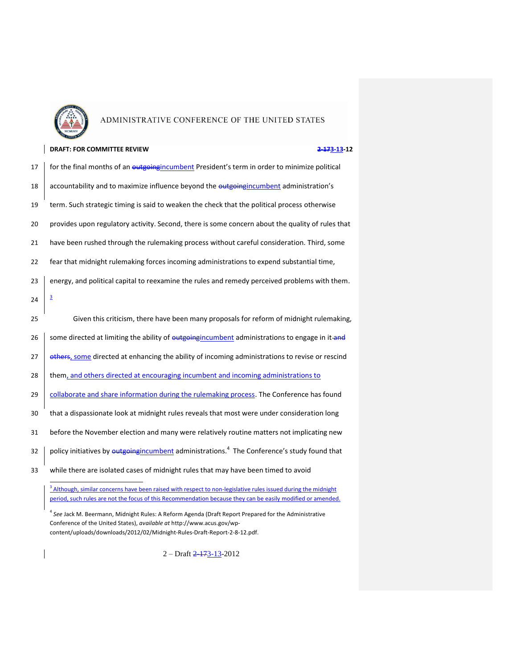

## **DRAFT: FOR COMMITTEE REVIEW 2-173-12 2-173-12** 17 for the final months of an outgoing incumbent President's term in order to minimize political 18 accountability and to maximize influence beyond the outgoing incumbent administration's 19 term. Such strategic timing is said to weaken the check that the political process otherwise 20 provides upon regulatory activity. Second, there is some concern about the quality of rules that 21 have been rushed through the rulemaking process without careful consideration. Third, some 22 fear that midnight rulemaking forces incoming administrations to expend substantial time, 23 energy, and political capital to reexamine the rules and remedy perceived problems with them. 3 24 25 Given this criticism, there have been many proposals for reform of midnight rulemaking, 26 some directed at limiting the ability of outgoing incumbent administrations to engage in it and 27 **others, some directed at enhancing the ability of incoming administrations to revise or rescind** 28 them, and others directed at encouraging incumbent and incoming administrations to 29 **collaborate and share information during the rulemaking process**. The Conference has found 30 that a dispassionate look at midnight rules reveals that most were under consideration long 31 before the November election and many were relatively routine matters not implicating new 32 | policy initiatives by <del>outgoing</del>incumbent administrations.<sup>4</sup> The Conference's study found that 33 while there are isolated cases of midnight rules that may have been timed to avoid  $\overline{a}$ <sup>3</sup> Although, similar concerns have been raised with respect to non-legislative rules issued during the midnight period, such rules are not the focus of this Recommendation because they can be easily modified or amended.

4 *See* Jack M. Beermann, Midnight Rules: A Reform Agenda (Draft Report Prepared for the Administrative Conference of the United States), *available at* http://www.acus.gov/wpcontent/uploads/downloads/2012/02/Midnight-Rules-Draft-Report-2-8-12.pdf.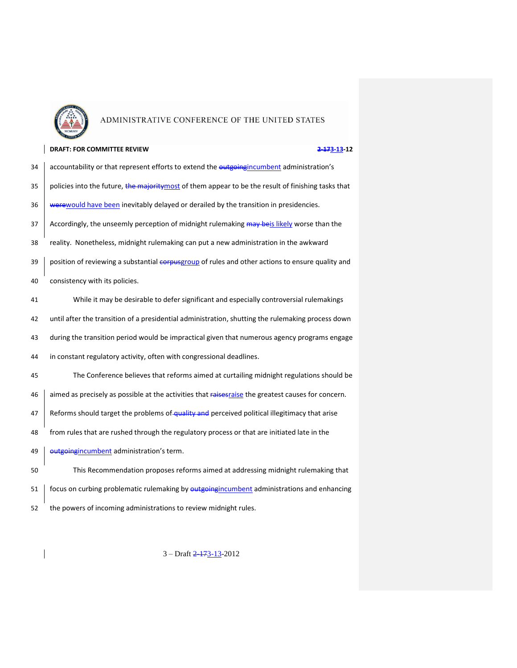

|    | <b>DRAFT: FOR COMMITTEE REVIEW</b><br>2-173-13-12                                                  |
|----|----------------------------------------------------------------------------------------------------|
| 34 | accountability or that represent efforts to extend the outgoing incumbent administration's         |
| 35 | policies into the future, the majoritymost of them appear to be the result of finishing tasks that |
| 36 | werewould have been inevitably delayed or derailed by the transition in presidencies.              |
| 37 | Accordingly, the unseemly perception of midnight rulemaking may beis likely worse than the         |
| 38 | reality. Nonetheless, midnight rulemaking can put a new administration in the awkward              |
| 39 | position of reviewing a substantial corpusgroup of rules and other actions to ensure quality and   |
| 40 | consistency with its policies.                                                                     |
| 41 | While it may be desirable to defer significant and especially controversial rulemakings            |
| 42 | until after the transition of a presidential administration, shutting the rulemaking process down  |
| 43 | during the transition period would be impractical given that numerous agency programs engage       |
| 44 | in constant regulatory activity, often with congressional deadlines.                               |
| 45 | The Conference believes that reforms aimed at curtailing midnight regulations should be            |
| 46 | aimed as precisely as possible at the activities that raisesraise the greatest causes for concern. |
| 47 | Reforms should target the problems of-quality and perceived political illegitimacy that arise      |
| 48 | from rules that are rushed through the regulatory process or that are initiated late in the        |
| 49 | outgoing incumbent administration's term.                                                          |
| 50 | This Recommendation proposes reforms aimed at addressing midnight rulemaking that                  |
| 51 | focus on curbing problematic rulemaking by outgoing incumbent administrations and enhancing        |
| 52 | the powers of incoming administrations to review midnight rules.                                   |

3 – Draft <del>2-173</del>-13-2012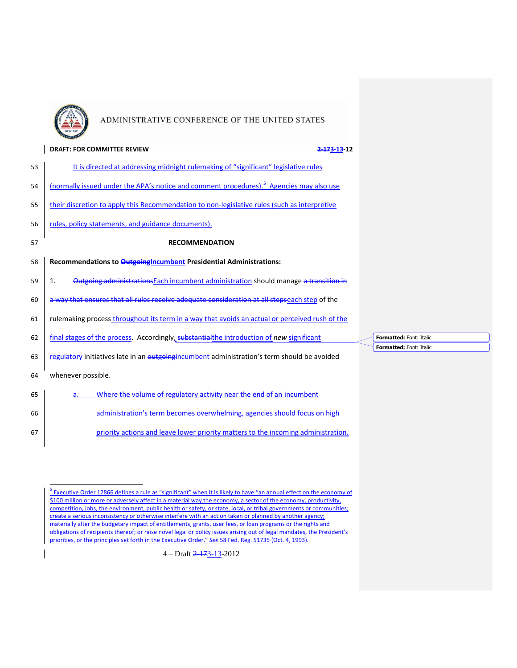

### ADMINISTRATIVE CONFERENCE OF THE UNITED STATES

|    | <b>DRAFT: FOR COMMITTEE REVIEW</b><br>2-173-13-12                                                   |                                |  |
|----|-----------------------------------------------------------------------------------------------------|--------------------------------|--|
| 53 | It is directed at addressing midnight rulemaking of "significant" legislative rules                 |                                |  |
| 54 | (normally issued under the APA's notice and comment procedures). <sup>5</sup> Agencies may also use |                                |  |
| 55 | their discretion to apply this Recommendation to non-legislative rules (such as interpretive        |                                |  |
| 56 | rules, policy statements, and guidance documents).                                                  |                                |  |
| 57 | <b>RECOMMENDATION</b>                                                                               |                                |  |
| 58 | Recommendations to Outgoing Incumbent Presidential Administrations:                                 |                                |  |
| 59 | Outgoing administrations Each incumbent administration should manage a transition in<br>1.          |                                |  |
| 60 | a way that ensures that all rules receive adequate consideration at all stepseach step of the       |                                |  |
| 61 | rulemaking process throughout its term in a way that avoids an actual or perceived rush of the      |                                |  |
| 62 | final stages of the process. Accordingly, substantialthe introduction of new significant            | Formatted: Font: Italic        |  |
| 63 | regulatory initiatives late in an outgoing incumbent administration's term should be avoided        | <b>Formatted: Font: Italic</b> |  |
| 64 | whenever possible.                                                                                  |                                |  |
| 65 | Where the volume of regulatory activity near the end of an incumbent<br>a.                          |                                |  |
| 66 | administration's term becomes overwhelming, agencies should focus on high                           |                                |  |
| 67 | priority actions and leave lower priority matters to the incoming administration.                   |                                |  |

<sup>5</sup> Executive Order 12866 defines a rule as "significant" when it is likely to have "an annual effect on the economy of \$100 million or more or adversely affect in a material way the economy, a sector of the economy, productivity, competition, jobs, the environment, public health or safety, or state, local, or tribal governments or communities; create a serious inconsistency or otherwise interfere with an action taken or planned by another agency; materially alter the budgetary impact of entitlements, grants, user fees, or loan programs or the rights and obligations of recipients thereof; or raise novel legal or policy issues arising out of legal mandates, the President's priorities, or the principles set forth in the Executive Order." *See* 58 Fed. Reg. 51735 (Oct. 4, 1993).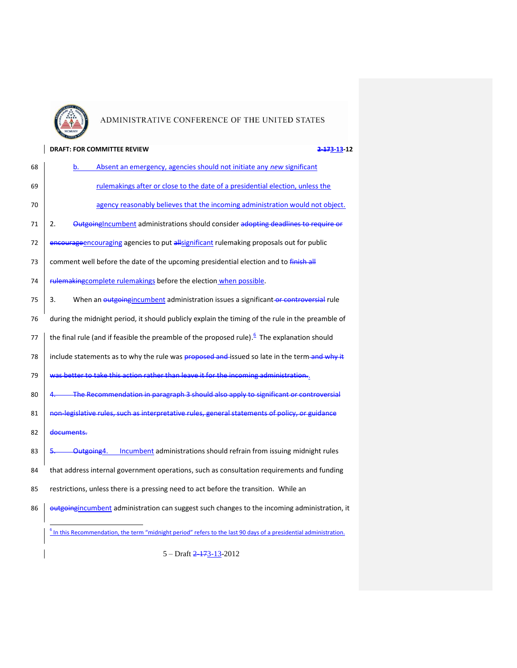

|    | <b>DRAFT: FOR COMMITTEE REVIEW</b><br><b>73-13-12</b>                                                           |
|----|-----------------------------------------------------------------------------------------------------------------|
| 68 | Absent an emergency, agencies should not initiate any new significant<br>b.                                     |
| 69 | rulemakings after or close to the date of a presidential election, unless the                                   |
| 70 | agency reasonably believes that the incoming administration would not object.                                   |
| 71 | tgoing Incumbent administrations should consider adopting deadlines to require<br>2.                            |
| 72 | encourage encouraging agencies to put allsignificant rulemaking proposals out for public                        |
| 73 | comment well before the date of the upcoming presidential election and to finish all                            |
| 74 | rulemaking complete rulemakings before the election when possible.                                              |
| 75 | When an outgoingincumbent administration issues a significant-or controversial rule<br>3.                       |
| 76 | during the midnight period, it should publicly explain the timing of the rule in the preamble of                |
| 77 | the final rule (and if feasible the preamble of the proposed rule). $\frac{5}{5}$ The explanation should        |
| 78 | include statements as to why the rule was proposed and issued so late in the term-and why it                    |
| 79 | was better to take this action rather than leave it for the incoming administration.                            |
| 80 | <u>Recommendation in paragraph 3 should also apply to significant or controversial</u>                          |
| 81 | non-legislative rules, such as interpretative rules, general statements of policy, or gu                        |
| 82 | documents.                                                                                                      |
| 83 | Incumbent administrations should refrain from issuing midnight rules<br><del>Outgoing</del> 4.                  |
| 84 | that address internal government operations, such as consultation requirements and funding                      |
| 85 | restrictions, unless there is a pressing need to act before the transition. While an                            |
| 86 | outgoingincumbent administration can suggest such changes to the incoming administration, it                    |
|    | In this Recommendation, the term "midnight period" refers to the last 90 days of a presidential administration. |

5 – Draft <del>2-173</del>-13-2012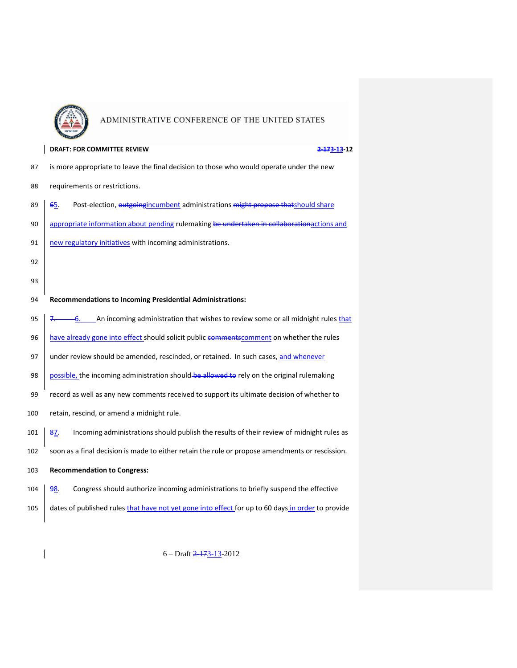

|     | <b>DRAFT: FOR COMMITTEE REVIEW</b><br>2-173-13-12                                                 |
|-----|---------------------------------------------------------------------------------------------------|
| 87  | is more appropriate to leave the final decision to those who would operate under the new          |
| 88  | requirements or restrictions.                                                                     |
| 89  | 65.<br>Post-election, outgoing incumbent administrations might propose thatshould share           |
| 90  | appropriate information about pending rulemaking be undertaken in collaborationactions and        |
| 91  | new regulatory initiatives with incoming administrations.                                         |
| 92  |                                                                                                   |
| 93  |                                                                                                   |
| 94  | <b>Recommendations to Incoming Presidential Administrations:</b>                                  |
| 95  | -6. An incoming administration that wishes to review some or all midnight rules that<br>7.        |
| 96  | have already gone into effect should solicit public comments comment on whether the rules         |
| 97  | under review should be amended, rescinded, or retained. In such cases, and whenever               |
| 98  | possible, the incoming administration should be allowed to rely on the original rulemaking        |
| 99  | record as well as any new comments received to support its ultimate decision of whether to        |
| 100 | retain, rescind, or amend a midnight rule.                                                        |
| 101 | Incoming administrations should publish the results of their review of midnight rules as<br>87.   |
| 102 | soon as a final decision is made to either retain the rule or propose amendments or rescission.   |
| 103 | <b>Recommendation to Congress:</b>                                                                |
| 104 | Congress should authorize incoming administrations to briefly suspend the effective<br>98.        |
| 105 | dates of published rules that have not yet gone into effect for up to 60 days in order to provide |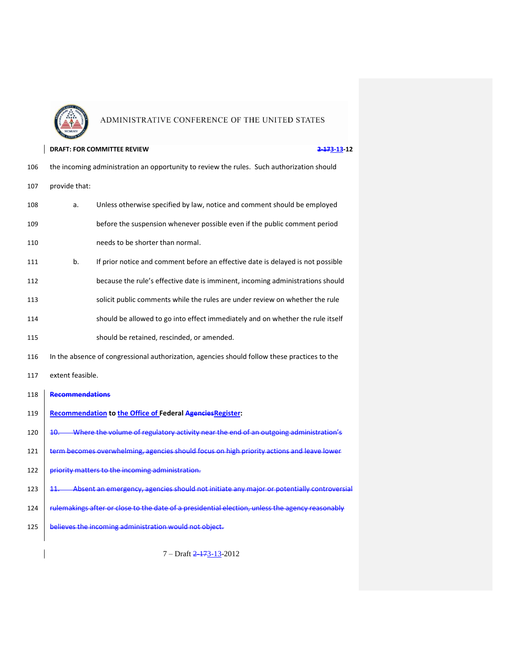

|     |                        | <b>DRAFT: FOR COMMITTEE REVIEW</b>                                                              | <del>-17</del> 3-13-12 |
|-----|------------------------|-------------------------------------------------------------------------------------------------|------------------------|
| 106 |                        | the incoming administration an opportunity to review the rules. Such authorization should       |                        |
| 107 | provide that:          |                                                                                                 |                        |
| 108 | a.                     | Unless otherwise specified by law, notice and comment should be employed                        |                        |
| 109 |                        | before the suspension whenever possible even if the public comment period                       |                        |
| 110 |                        | needs to be shorter than normal.                                                                |                        |
| 111 | b.                     | If prior notice and comment before an effective date is delayed is not possible                 |                        |
| 112 |                        | because the rule's effective date is imminent, incoming administrations should                  |                        |
| 113 |                        | solicit public comments while the rules are under review on whether the rule                    |                        |
| 114 |                        | should be allowed to go into effect immediately and on whether the rule itself                  |                        |
| 115 |                        | should be retained, rescinded, or amended.                                                      |                        |
| 116 |                        | In the absence of congressional authorization, agencies should follow these practices to the    |                        |
| 117 | extent feasible.       |                                                                                                 |                        |
| 118 | <b>Recommendations</b> |                                                                                                 |                        |
| 119 |                        | <b>Recommendation to the Office of Federal Agencies Register:</b>                               |                        |
| 120 |                        | 10. Where the volume of regulatory activity near the end of an outgoing administration's        |                        |
| 121 |                        | term becomes overwhelming, agencies should focus on high priority actions and leave lower       |                        |
| 122 |                        | priority matters to the incoming administration.                                                |                        |
| 123 | 11.                    | Absent an emergency, agencies should not initiate any major or potentially controver            |                        |
| 124 |                        | rulemakings after or close to the date of a presidential election, unless the agency reasonably |                        |
| 125 |                        | believes the incoming administration would not object.                                          |                        |
|     |                        |                                                                                                 |                        |

7 – Draft <del>2-173</del>-13-2012